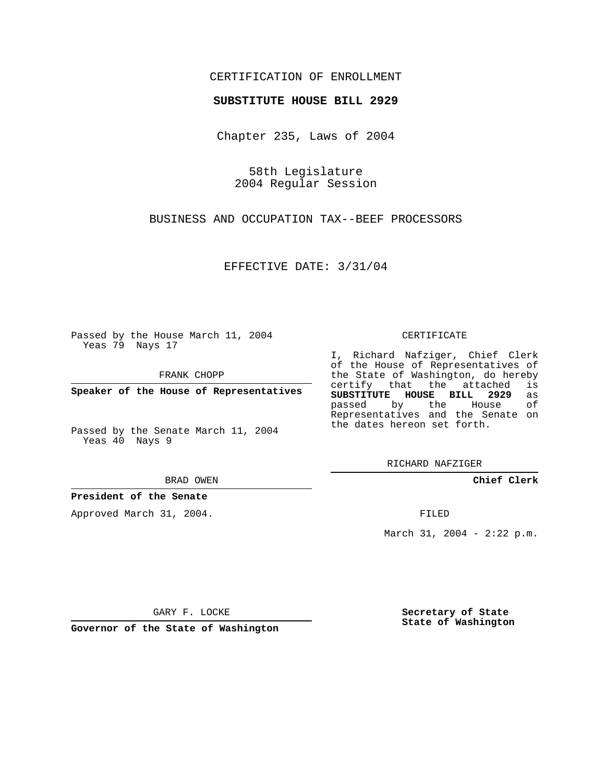## CERTIFICATION OF ENROLLMENT

### **SUBSTITUTE HOUSE BILL 2929**

Chapter 235, Laws of 2004

58th Legislature 2004 Regular Session

BUSINESS AND OCCUPATION TAX--BEEF PROCESSORS

EFFECTIVE DATE: 3/31/04

Passed by the House March 11, 2004 Yeas 79 Nays 17

FRANK CHOPP

**Speaker of the House of Representatives**

Passed by the Senate March 11, 2004 Yeas 40 Nays 9

BRAD OWEN

### **President of the Senate**

Approved March 31, 2004.

CERTIFICATE

I, Richard Nafziger, Chief Clerk of the House of Representatives of the State of Washington, do hereby<br>certify that the attached is certify that the attached **SUBSTITUTE HOUSE BILL 2929** as passed by the House Representatives and the Senate on the dates hereon set forth.

RICHARD NAFZIGER

**Chief Clerk**

FILED

March 31, 2004 - 2:22 p.m.

GARY F. LOCKE

**Governor of the State of Washington**

**Secretary of State State of Washington**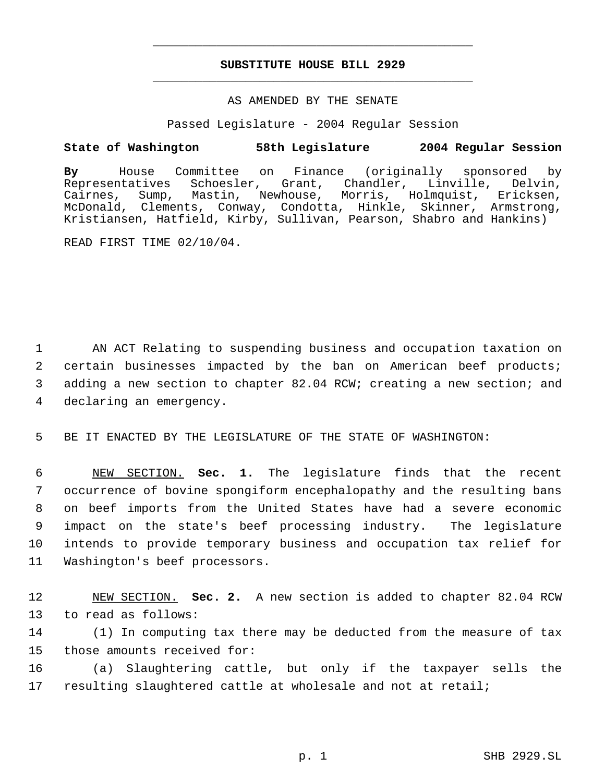# **SUBSTITUTE HOUSE BILL 2929** \_\_\_\_\_\_\_\_\_\_\_\_\_\_\_\_\_\_\_\_\_\_\_\_\_\_\_\_\_\_\_\_\_\_\_\_\_\_\_\_\_\_\_\_\_

\_\_\_\_\_\_\_\_\_\_\_\_\_\_\_\_\_\_\_\_\_\_\_\_\_\_\_\_\_\_\_\_\_\_\_\_\_\_\_\_\_\_\_\_\_

### AS AMENDED BY THE SENATE

Passed Legislature - 2004 Regular Session

## **State of Washington 58th Legislature 2004 Regular Session**

**By** House Committee on Finance (originally sponsored by Schoesler, Grant, Chandler, Linville, Delvin, Cairnes, Sump, Mastin, Newhouse, Morris, Holmquist, Ericksen, McDonald, Clements, Conway, Condotta, Hinkle, Skinner, Armstrong, Kristiansen, Hatfield, Kirby, Sullivan, Pearson, Shabro and Hankins)

READ FIRST TIME 02/10/04.

 AN ACT Relating to suspending business and occupation taxation on certain businesses impacted by the ban on American beef products; adding a new section to chapter 82.04 RCW; creating a new section; and declaring an emergency.

5 BE IT ENACTED BY THE LEGISLATURE OF THE STATE OF WASHINGTON:

 NEW SECTION. **Sec. 1.** The legislature finds that the recent occurrence of bovine spongiform encephalopathy and the resulting bans on beef imports from the United States have had a severe economic impact on the state's beef processing industry. The legislature intends to provide temporary business and occupation tax relief for Washington's beef processors.

12 NEW SECTION. **Sec. 2.** A new section is added to chapter 82.04 RCW 13 to read as follows:

14 (1) In computing tax there may be deducted from the measure of tax 15 those amounts received for:

16 (a) Slaughtering cattle, but only if the taxpayer sells the 17 resulting slaughtered cattle at wholesale and not at retail;